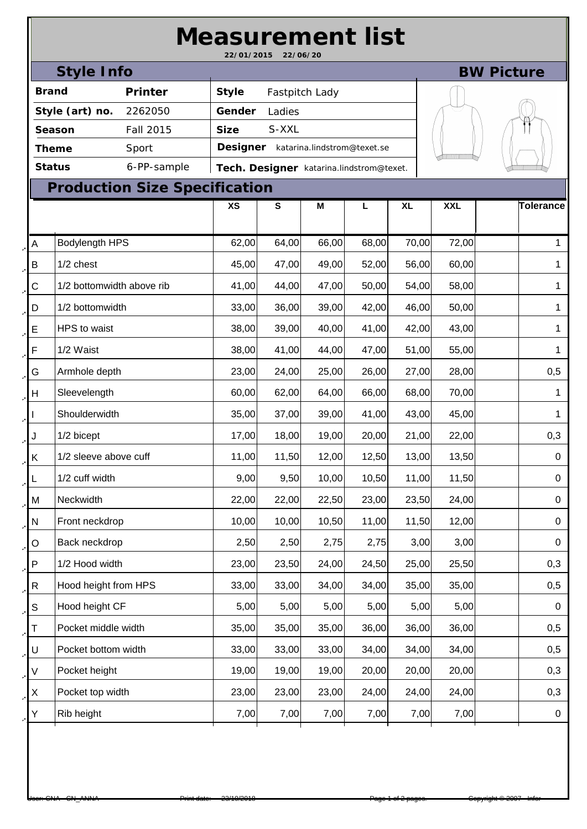| <b>Measurement list</b><br>22/01/2015<br>22/06/20 |                           |                                      |              |                                          |                             |       |           |            |             |           |  |  |  |  |  |
|---------------------------------------------------|---------------------------|--------------------------------------|--------------|------------------------------------------|-----------------------------|-------|-----------|------------|-------------|-----------|--|--|--|--|--|
| <b>Style Info</b><br><b>BW Picture</b>            |                           |                                      |              |                                          |                             |       |           |            |             |           |  |  |  |  |  |
| <b>Brand</b>                                      |                           | Printer                              | <b>Style</b> | Fastpitch Lady                           |                             |       |           |            |             |           |  |  |  |  |  |
| Style (art) no.<br>2262050                        |                           |                                      | Gender       | Ladies                                   |                             |       |           |            |             |           |  |  |  |  |  |
| Fall 2015<br>Season                               |                           |                                      | <b>Size</b>  | S-XXL                                    |                             |       |           |            |             |           |  |  |  |  |  |
| Sport<br>Theme                                    |                           |                                      | Designer     |                                          | katarina.lindstrom@texet.se |       |           |            |             |           |  |  |  |  |  |
|                                                   | <b>Status</b>             | 6-PP-sample                          |              | Tech. Designer katarina.lindstrom@texet. |                             |       |           |            |             |           |  |  |  |  |  |
|                                                   |                           | <b>Production Size Specification</b> |              |                                          |                             |       |           |            |             |           |  |  |  |  |  |
|                                                   |                           |                                      | <b>XS</b>    | ${\bf S}$                                | M                           | L     | <b>XL</b> | <b>XXL</b> |             | Tolerance |  |  |  |  |  |
| A                                                 | Bodylength HPS            |                                      | 62,00        | 64,00                                    | 66,00                       | 68,00 | 70,00     | 72,00      |             | 1         |  |  |  |  |  |
| B                                                 | 1/2 chest                 |                                      | 45,00        | 47,00                                    | 49,00                       | 52,00 | 56,00     | 60,00      |             | 1         |  |  |  |  |  |
| С                                                 | 1/2 bottomwidth above rib |                                      | 41,00        | 44,00                                    | 47,00                       | 50,00 | 54,00     | 58,00      |             | 1         |  |  |  |  |  |
| D                                                 | 1/2 bottomwidth           |                                      |              | 36,00                                    | 39,00                       | 42,00 | 46,00     | 50,00      |             | 1         |  |  |  |  |  |
| E                                                 | HPS to waist              |                                      |              | 39,00                                    | 40,00                       | 41,00 | 42,00     | 43,00      |             | 1         |  |  |  |  |  |
| F                                                 | 1/2 Waist                 | 38,00                                | 41,00        | 44,00                                    | 47,00                       | 51,00 | 55,00     |            | 1           |           |  |  |  |  |  |
| G                                                 | Armhole depth             | 23,00                                | 24,00        | 25,00                                    | 26,00                       | 27,00 | 28,00     |            | 0,5         |           |  |  |  |  |  |
| Н                                                 | Sleevelength              | 60,00                                | 62,00        | 64,00                                    | 66,00                       | 68,00 | 70,00     |            | 1           |           |  |  |  |  |  |
|                                                   | Shoulderwidth             |                                      |              | 37,00                                    | 39,00                       | 41,00 | 43,00     | 45,00      |             | 1         |  |  |  |  |  |
| J                                                 | 1/2 bicept                |                                      |              | 18,00                                    | 19,00                       | 20,00 | 21,00     | 22,00      |             | 0,3       |  |  |  |  |  |
| Κ                                                 | 1/2 sleeve above cuff     |                                      |              | 11,50                                    | 12,00                       | 12,50 | 13,00     | 13,50      |             | 0         |  |  |  |  |  |
| L                                                 | 1/2 cuff width            |                                      | 9,00         | 9,50                                     | 10,00                       | 10,50 | 11,00     | 11,50      |             | $\pmb{0}$ |  |  |  |  |  |
| М                                                 | Neckwidth                 |                                      | 22,00        | 22,00                                    | 22,50                       | 23,00 | 23,50     | 24,00      |             | $\pmb{0}$ |  |  |  |  |  |
| ${\sf N}$                                         | Front neckdrop            |                                      | 10,00        | 10,00                                    | 10,50                       | 11,00 | 11,50     | 12,00      |             | $\pmb{0}$ |  |  |  |  |  |
| O                                                 | Back neckdrop             |                                      | 2,50         | 2,50                                     | 2,75                        | 2,75  | 3,00      | 3,00       |             | 0         |  |  |  |  |  |
| ${\sf P}$                                         | 1/2 Hood width            |                                      | 23,00        | 23,50                                    | 24,00                       | 24,50 | 25,00     | 25,50      |             | 0,3       |  |  |  |  |  |
| $\mathsf{R}$                                      | Hood height from HPS      |                                      | 33,00        | 33,00                                    | 34,00                       | 34,00 | 35,00     | 35,00      |             | 0,5       |  |  |  |  |  |
| S                                                 | Hood height CF            | 5,00                                 | 5,00         | 5,00                                     | 5,00                        | 5,00  | 5,00      |            | $\mathbf 0$ |           |  |  |  |  |  |
| Τ                                                 | Pocket middle width       | 35,00                                | 35,00        | 35,00                                    | 36,00                       | 36,00 | 36,00     |            | 0,5         |           |  |  |  |  |  |
| U                                                 | Pocket bottom width       | 33,00                                | 33,00        | 33,00                                    | 34,00                       | 34,00 | 34,00     |            | 0,5         |           |  |  |  |  |  |
| V                                                 | Pocket height             |                                      | 19,00        | 19,00                                    | 19,00                       | 20,00 | 20,00     | 20,00      |             | 0,3       |  |  |  |  |  |
| X                                                 | Pocket top width          |                                      | 23,00        | 23,00                                    | 23,00                       | 24,00 | 24,00     | 24,00      |             | 0,3       |  |  |  |  |  |
| Υ                                                 | Rib height                |                                      | 7,00         | 7,00                                     | 7,00                        | 7,00  | 7,00      | 7,00       |             | 0         |  |  |  |  |  |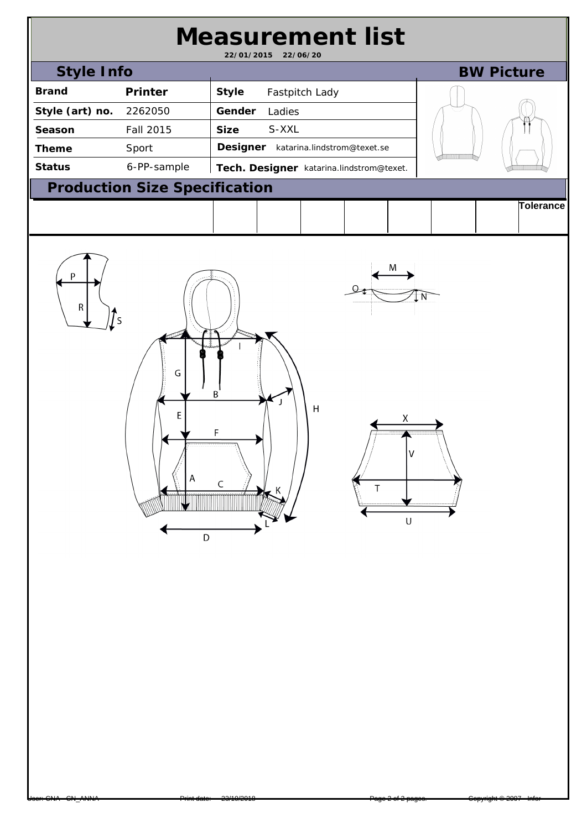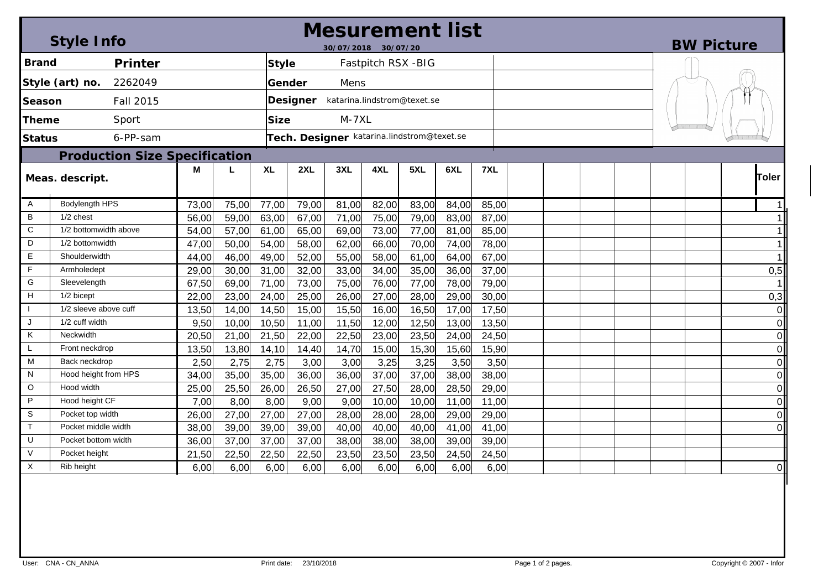|                                      | <b>Style Info</b>     |                                            | Mesurement list<br>30/07/2018 30/07/20 |              |       |       |                    |       |       |       |  |  |  | <b>BW Picture</b> |  |  |                         |  |
|--------------------------------------|-----------------------|--------------------------------------------|----------------------------------------|--------------|-------|-------|--------------------|-------|-------|-------|--|--|--|-------------------|--|--|-------------------------|--|
| <b>Brand</b><br>Printer              |                       |                                            |                                        | <b>Style</b> |       |       | Fastpitch RSX -BIG |       |       |       |  |  |  |                   |  |  |                         |  |
| 2262049<br>Style (art) no.           |                       | Gender<br>Mens                             |                                        |              |       |       |                    |       |       |       |  |  |  |                   |  |  |                         |  |
|                                      |                       |                                            |                                        |              |       |       |                    |       |       |       |  |  |  |                   |  |  |                         |  |
| Fall 2015<br>lSeason                 |                       |                                            | Designer katarina.lindstrom@texet.se   |              |       |       |                    |       |       |       |  |  |  |                   |  |  |                         |  |
| Theme                                | Sport                 | $M-7XL$<br><b>Size</b>                     |                                        |              |       |       |                    |       |       |       |  |  |  |                   |  |  |                         |  |
| <b>Status</b>                        | 6-PP-sam              | Tech. Designer katarina.lindstrom@texet.se |                                        |              |       |       |                    |       |       |       |  |  |  |                   |  |  |                         |  |
| <b>Production Size Specification</b> |                       |                                            |                                        |              |       |       |                    |       |       |       |  |  |  |                   |  |  |                         |  |
|                                      |                       | M                                          |                                        | <b>XL</b>    | 2XL   | 3XL   | 4XL                | 5XL   | 6XL   | 7XL   |  |  |  |                   |  |  |                         |  |
| Meas. descript.                      |                       |                                            |                                        |              |       |       |                    |       |       |       |  |  |  |                   |  |  | Toler                   |  |
| Α                                    | <b>Bodylength HPS</b> | 73,00                                      | 75,00                                  | 77,00        | 79,00 | 81,00 | 82,00              | 83,00 | 84,00 | 85,00 |  |  |  |                   |  |  | 11                      |  |
| B                                    | 1/2 chest             | 56,00                                      | 59,00                                  | 63,00        | 67,00 | 71,00 | 75,00              | 79,00 | 83,00 | 87,00 |  |  |  |                   |  |  | 1 <sup>1</sup>          |  |
| C                                    | 1/2 bottomwidth above | 54,00                                      | 57,00                                  | 61,00        | 65,00 | 69,00 | 73,00              | 77,00 | 81,00 | 85,00 |  |  |  |                   |  |  |                         |  |
| D                                    | 1/2 bottomwidth       |                                            | 50,00                                  | 54,00        | 58,00 | 62,00 | 66,00              | 70,00 | 74,00 | 78,00 |  |  |  |                   |  |  | $\mathbf{1}$            |  |
| E.                                   | Shoulderwidth         |                                            | 46,00                                  | 49,00        | 52,00 | 55,00 | 58,00              | 61,00 | 64,00 | 67,00 |  |  |  |                   |  |  | $\mathbf 1$             |  |
| F                                    | Armholedept           |                                            | 30,00                                  | 31,00        | 32,00 | 33,00 | 34,00              | 35,00 | 36,00 | 37,00 |  |  |  |                   |  |  | 0,5                     |  |
| G                                    | Sleevelength          |                                            | 69,00                                  | 71,00        | 73,00 | 75,00 | 76,00              | 77,00 | 78,00 | 79,00 |  |  |  |                   |  |  |                         |  |
| н<br>1/2 bicept                      |                       | 22,00                                      | 23,00                                  | 24,00        | 25,00 | 26,00 | 27,00              | 28,00 | 29,00 | 30,00 |  |  |  |                   |  |  | 0,3                     |  |
| 1/2 sleeve above cuff                |                       | 13,50                                      | 14,00                                  | 14,50        | 15,00 | 15,50 | 16,00              | 16,50 | 17,00 | 17,50 |  |  |  |                   |  |  | $\overline{0}$          |  |
| 1/2 cuff width<br>J                  |                       | 9,50                                       | 10,00                                  | 10,50        | 11,00 | 11,50 | 12,00              | 12,50 | 13,00 | 13,50 |  |  |  |                   |  |  | $\overline{0}$          |  |
| Κ                                    | Neckwidth             | 20,50                                      | 21,00                                  | 21,50        | 22,00 | 22,50 | 23,00              | 23,50 | 24,00 | 24,50 |  |  |  |                   |  |  | $\mathbf 0$             |  |
| L.                                   | Front neckdrop        | 13,50                                      | 13,80                                  | 14,10        | 14,40 | 14,70 | 15,00              | 15,30 | 15,60 | 15,90 |  |  |  |                   |  |  | $\overline{0}$          |  |
| м                                    | Back neckdrop         | 2,50                                       | 2,75                                   | 2,75         | 3,00  | 3,00  | 3,25               | 3,25  | 3,50  | 3,50  |  |  |  |                   |  |  | $\overline{0}$          |  |
| N                                    | Hood height from HPS  | 34,00                                      | 35,00                                  | 35,00        | 36,00 | 36,00 | 37,00              | 37,00 | 38,00 | 38,00 |  |  |  |                   |  |  | $\overline{O}$          |  |
| $\circ$                              | Hood width            | 25,00                                      | 25,50                                  | 26,00        | 26,50 | 27,00 | 27,50              | 28,00 | 28,50 | 29,00 |  |  |  |                   |  |  | $\overline{0}$          |  |
| P                                    | Hood height CF        | 7,00                                       | 8,00                                   | 8,00         | 9,00  | 9,00  | 10,00              | 10,00 | 11,00 | 11,00 |  |  |  |                   |  |  | $\mathbf 0$             |  |
| S                                    | Pocket top width      | 26,00                                      | 27,00                                  | 27,00        | 27,00 | 28,00 | 28,00              | 28,00 | 29,00 | 29,00 |  |  |  |                   |  |  | $\overline{\mathsf{o}}$ |  |
| T.                                   | Pocket middle width   | 38,00                                      | 39,00                                  | 39,00        | 39,00 | 40,00 | 40,00              | 40,00 | 41,00 | 41,00 |  |  |  |                   |  |  | $\overline{O}$          |  |
| U                                    | Pocket bottom width   | 36,00                                      | 37,00                                  | 37,00        | 37,00 | 38,00 | 38,00              | 38,00 | 39,00 | 39,00 |  |  |  |                   |  |  |                         |  |
| $\vee$                               | Pocket height         | 21,50                                      | 22,50                                  | 22,50        | 22,50 | 23,50 | 23,50              | 23,50 | 24,50 | 24,50 |  |  |  |                   |  |  |                         |  |
| $\times$                             | Rib height            | 6,00                                       | 6,00                                   | 6,00         | 6,00  | 6,00  | 6,00               | 6,00  | 6,00  | 6,00  |  |  |  |                   |  |  | $\mathbf 0$             |  |